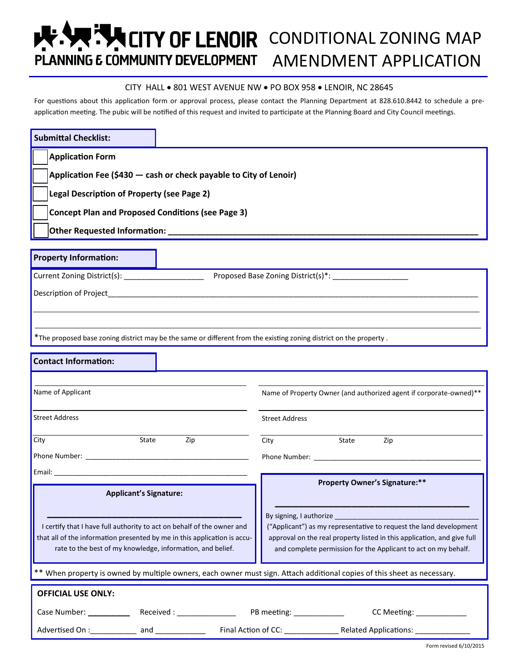# **K. Y. THEITY OF LENOIR** CONDITIONAL ZONING MAP PLANNING E COMMUNITY DEVELOPMENT AMENDMENT APPLICATION

#### CITY HALL . 801 WEST AVENUE NW . PO BOX 958 . LENOIR, NC 28645

For questions about this application form or approval process, please contact the Planning Department at 828.610.8442 to schedule a preapplication meeting. The pubic will be notified of this request and invited to participate at the Planning Board and City Council meetings.

| <b>Submittal Checklist:</b>                                                                                                                                                                                                         |                                                                                                                                                                                                                                            |
|-------------------------------------------------------------------------------------------------------------------------------------------------------------------------------------------------------------------------------------|--------------------------------------------------------------------------------------------------------------------------------------------------------------------------------------------------------------------------------------------|
| <b>Application Form</b>                                                                                                                                                                                                             |                                                                                                                                                                                                                                            |
| Application Fee (\$430 - cash or check payable to City of Lenoir)                                                                                                                                                                   |                                                                                                                                                                                                                                            |
| Legal Description of Property (see Page 2)                                                                                                                                                                                          |                                                                                                                                                                                                                                            |
| <b>Concept Plan and Proposed Conditions (see Page 3)</b>                                                                                                                                                                            |                                                                                                                                                                                                                                            |
|                                                                                                                                                                                                                                     |                                                                                                                                                                                                                                            |
| <b>Property Information:</b>                                                                                                                                                                                                        |                                                                                                                                                                                                                                            |
|                                                                                                                                                                                                                                     |                                                                                                                                                                                                                                            |
| Current Zoning District(s): _____________________                                                                                                                                                                                   |                                                                                                                                                                                                                                            |
| <b>Description of Project</b> and Contact the Contact of Project and Contact of Project and Contact of Project and Contact of Project and Contact of Project and Contact of Project and Contact of Project and Contact of Project a |                                                                                                                                                                                                                                            |
|                                                                                                                                                                                                                                     |                                                                                                                                                                                                                                            |
| *The proposed base zoning district may be the same or different from the existing zoning district on the property.                                                                                                                  |                                                                                                                                                                                                                                            |
| <b>Contact Information:</b>                                                                                                                                                                                                         |                                                                                                                                                                                                                                            |
|                                                                                                                                                                                                                                     |                                                                                                                                                                                                                                            |
| Name of Applicant                                                                                                                                                                                                                   | Name of Property Owner (and authorized agent if corporate-owned)**                                                                                                                                                                         |
| <b>Street Address</b>                                                                                                                                                                                                               | <b>Street Address</b>                                                                                                                                                                                                                      |
| State<br>City<br>Zip                                                                                                                                                                                                                | State<br>City<br>Zip                                                                                                                                                                                                                       |
|                                                                                                                                                                                                                                     |                                                                                                                                                                                                                                            |
| Email: Email: All and the state of the state of the state of the state of the state of the state of the state of the state of the state of the state of the state of the state of the state of the state of the state of the s      |                                                                                                                                                                                                                                            |
| <b>Applicant's Signature:</b>                                                                                                                                                                                                       | <b>Property Owner's Signature:**</b>                                                                                                                                                                                                       |
| I certify that I have full authority to act on behalf of the owner and<br>that all of the information presented by me in this application is accu-<br>rate to the best of my knowledge, information, and belief.                    | By signing, I authorize<br>("Applicant") as my representative to request the land development<br>approval on the real property listed in this application, and give full<br>and complete permission for the Applicant to act on my behalf. |
| ** When property is owned by multiple owners, each owner must sign. Attach additional copies of this sheet as necessary.                                                                                                            |                                                                                                                                                                                                                                            |
| <b>OFFICIAL USE ONLY:</b>                                                                                                                                                                                                           |                                                                                                                                                                                                                                            |
|                                                                                                                                                                                                                                     | CC Meeting: _____________                                                                                                                                                                                                                  |
|                                                                                                                                                                                                                                     |                                                                                                                                                                                                                                            |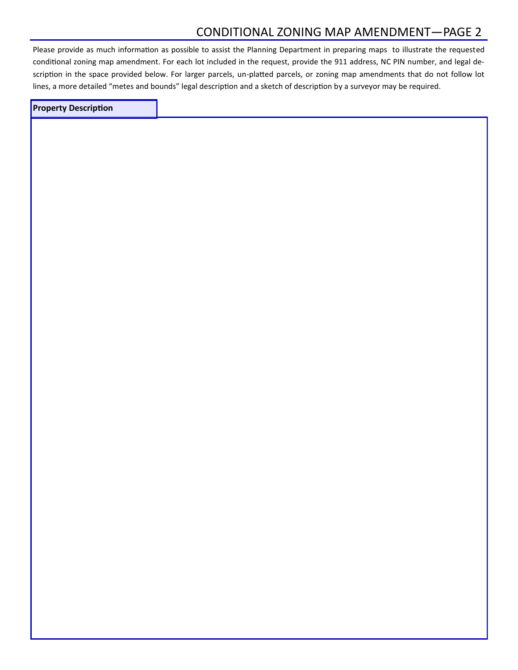## CONDITIONAL ZONING MAP AMENDMENT—PAGE 2

Please provide as much information as possible to assist the Planning Department in preparing maps to illustrate the requested conditional zoning map amendment. For each lot included in the request, provide the 911 address, NC PIN number, and legal description in the space provided below. For larger parcels, un-platted parcels, or zoning map amendments that do not follow lot lines, a more detailed "metes and bounds" legal description and a sketch of description by a surveyor may be required.

### **Property Description**